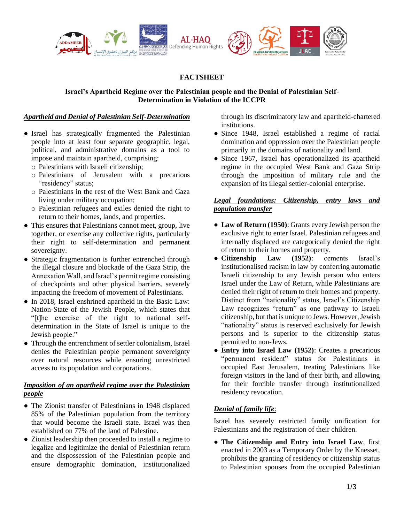

# **FACTSHEET**

## **Israel's Apartheid Regime over the Palestinian people and the Denial of Palestinian Self-Determination in Violation of the ICCPR**

## *Apartheid and Denial of Palestinian Self-Determination*

- Israel has strategically fragmented the Palestinian people into at least four separate geographic, legal, political, and administrative domains as a tool to impose and maintain apartheid, comprising:
	- o Palestinians with Israeli citizenship;
	- o Palestinians of Jerusalem with a precarious "residency" status;
	- o Palestinians in the rest of the West Bank and Gaza living under military occupation;
	- o Palestinian refugees and exiles denied the right to return to their homes, lands, and properties.
- This ensures that Palestinians cannot meet, group, live together, or exercise any collective rights, particularly their right to self-determination and permanent sovereignty.
- Strategic fragmentation is further entrenched through the illegal closure and blockade of the Gaza Strip, the Annexation Wall, and Israel's permit regime consisting of checkpoints and other physical barriers, severely impacting the freedom of movement of Palestinians.
- In 2018, Israel enshrined apartheid in the Basic Law: Nation-State of the Jewish People, which states that "[t]he exercise of the right to national selfdetermination in the State of Israel is unique to the Jewish people."
- Through the entrenchment of settler colonialism, Israel denies the Palestinian people permanent sovereignty over natural resources while ensuring unrestricted access to its population and corporations.

# *Imposition of an apartheid regime over the Palestinian people*

- The Zionist transfer of Palestinians in 1948 displaced 85% of the Palestinian population from the territory that would become the Israeli state. Israel was then established on 77% of the land of Palestine.
- Zionist leadership then proceeded to install a regime to legalize and legitimize the denial of Palestinian return and the dispossession of the Palestinian people and ensure demographic domination, institutionalized

through its discriminatory law and apartheid-chartered institutions.

- Since 1948, Israel established a regime of racial domination and oppression over the Palestinian people primarily in the domains of nationality and land.
- Since 1967, Israel has operationalized its apartheid regime in the occupied West Bank and Gaza Strip through the imposition of military rule and the expansion of its illegal settler-colonial enterprise.

#### *Legal foundations: Citizenship, entry laws and population transfer*

- **Law of Return (1950)**: Grants every Jewish person the exclusive right to enter Israel. Palestinian refugees and internally displaced are categorically denied the right of return to their homes and property.
- **Citizenship Law (1952)**: cements Israel's institutionalised racism in law by conferring automatic Israeli citizenship to any Jewish person who enters Israel under the Law of Return, while Palestinians are denied their right of return to their homes and property. Distinct from "nationality" status, Israel's Citizenship Law recognizes "return" as one pathway to Israeli citizenship, but that is unique to Jews. However,Jewish "nationality" status is reserved exclusively for Jewish persons and is superior to the citizenship status permitted to non-Jews.
- **Entry into Israel Law (1952)**: Creates a precarious "permanent resident" status for Palestinians in occupied East Jerusalem, treating Palestinians like foreign visitors in the land of their birth, and allowing for their forcible transfer through institutionalized residency revocation.

# *Denial of family life*:

Israel has severely restricted family unification for Palestinians and the registration of their children.

● **The Citizenship and Entry into Israel Law**, first enacted in 2003 as a Temporary Order by the Knesset, prohibits the granting of residency or citizenship status to Palestinian spouses from the occupied Palestinian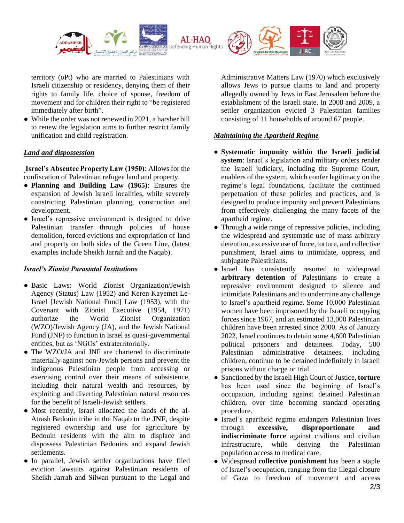

territory (oPt) who are married to Palestinians with Israeli citizenship or residency, denying them of their rights to family life, choice of spouse, freedom of movement and for children their right to "be registered immediately after birth".

• While the order was not renewed in 2021, a harsher bill to renew the legislation aims to further restrict family unification and child registration.

# *Land and dispossession*

**Israel's Absentee Property Law (1950)**: Allows for the confiscation of Palestinian refugee land and property.

- **Planning and Building Law (1965)**: Ensures the expansion of Jewish Israeli localities, while severely constricting Palestinian planning, construction and development.
- Israel's repressive environment is designed to drive Palestinian transfer through policies of house demolition, forced evictions and expropriation of land and property on both sides of the Green Line, (latest examples include Sheikh Jarrah and the Naqab).

# *Israel's Zionist Parastatal Institutions*

- Basic Laws: World Zionist Organization/Jewish Agency (Status) Law (1952) and Keren Kayemet Le-Israel [Jewish National Fund] Law (1953), with the Covenant with Zionist Executive (1954, 1971) authorize the World Zionist Organization (WZO)/Jewish Agency (JA), and the Jewish National Fund (JNF) to function in Israel as quasi-governmental entities, but as 'NGOs' extraterritorially.
- The WZO/JA and JNF are chartered to discriminate materially against non-Jewish persons and prevent the indigenous Palestinian people from accessing or exercising control over their means of subsistence, including their natural wealth and resources, by exploiting and diverting Palestinian natural resources for the benefit of Israeli-Jewish settlers.
- Most recently, Israel allocated the lands of the al-Atrash Bedouin tribe in the Naqab to the **JNF**, despite registered ownership and use for agriculture by Bedouin residents with the aim to displace and dispossess Palestinian Bedouins and expand Jewish settlements.
- In parallel, Jewish settler organizations have filed eviction lawsuits against Palestinian residents of Sheikh Jarrah and Silwan pursuant to the Legal and

Administrative Matters Law (1970) which exclusively allows Jews to pursue claims to land and property allegedly owned by Jews in East Jerusalem before the establishment of the Israeli state. In 2008 and 2009, a settler organization evicted 3 Palestinian families consisting of 11 households of around 67 people.

# *Maintaining the Apartheid Regime*

- **Systematic impunity within the Israeli judicial system**: Israel's legislation and military orders render the Israeli judiciary, including the Supreme Court, enablers of the system, which confer legitimacy on the regime's legal foundations, facilitate the continued perpetuation of these policies and practices, and is designed to produce impunity and prevent Palestinians from effectively challenging the many facets of the apartheid regime.
- Through a wide range of repressive policies, including the widespread and systematic use of mass arbitrary detention, excessive use of force, torture, and collective punishment, Israel aims to intimidate, oppress, and subjugate Palestinians.
- Israel has consistently resorted to widespread **arbitrary detention** of Palestinians to create a repressive environment designed to silence and intimidate Palestinians and to undermine any challenge to Israel's apartheid regime. Some 10,000 Palestinian women have been imprisoned by the Israeli occupying forces since 1967, and an estimated 13,000 Palestinian children have been arrested since 2000. As of January 2022, Israel continues to detain some 4,600 Palestinian political prisoners and detainees. Today, 500 Palestinian administrative detainees, including children, continue to be detained indefinitely in Israeli prisons without charge or trial.
- Sanctioned by the Israeli High Court of Justice, **torture**  has been used since the beginning of Israel's occupation, including against detained Palestinian children, over time becoming standard operating procedure.
- Israel's apartheid regime endangers Palestinian lives through **excessive, disproportionate and indiscriminate force** against civilians and civilian infrastructure, while denying the Palestinian population access to medical care.
- Widespread **collective punishment** has been a staple of Israel's occupation, ranging from the illegal closure of Gaza to freedom of movement and access